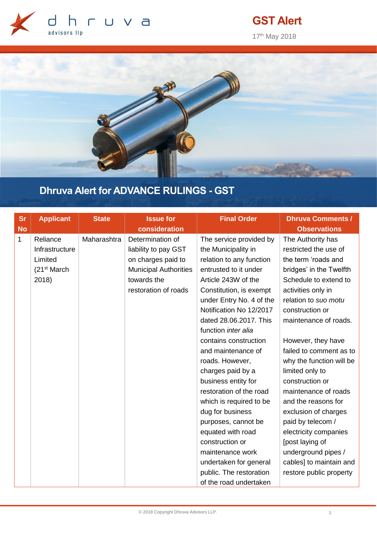

# **GST Alert**

17th May 2018



# **Dhruva Alert for ADVANCE RULINGS - GST**

| <b>Sr</b>    | <b>Applicant</b>         | <b>State</b> | <b>Issue for</b>             | <b>Final Order</b>       | <b>Dhruva Comments /</b> |
|--------------|--------------------------|--------------|------------------------------|--------------------------|--------------------------|
| <b>No</b>    |                          |              | consideration                |                          | <b>Observations</b>      |
| $\mathbf{1}$ | Reliance                 | Maharashtra  | Determination of             | The service provided by  | The Authority has        |
|              | Infrastructure           |              | liability to pay GST         | the Municipality in      | restricted the use of    |
|              | Limited                  |              | on charges paid to           | relation to any function | the term 'roads and      |
|              | (21 <sup>st</sup> March) |              | <b>Municipal Authorities</b> | entrusted to it under    | bridges' in the Twelfth  |
|              | 2018)                    |              | towards the                  | Article 243W of the      | Schedule to extend to    |
|              |                          |              | restoration of roads         | Constitution, is exempt  | activities only in       |
|              |                          |              |                              | under Entry No. 4 of the | relation to suo motu     |
|              |                          |              |                              | Notification No 12/2017  | construction or          |
|              |                          |              |                              | dated 28.06.2017. This   | maintenance of roads.    |
|              |                          |              |                              | function inter alia      |                          |
|              |                          |              |                              | contains construction    | However, they have       |
|              |                          |              |                              | and maintenance of       | failed to comment as to  |
|              |                          |              |                              | roads. However,          | why the function will be |
|              |                          |              |                              | charges paid by a        | limited only to          |
|              |                          |              |                              | business entity for      | construction or          |
|              |                          |              |                              | restoration of the road  | maintenance of roads     |
|              |                          |              |                              | which is required to be  | and the reasons for      |
|              |                          |              |                              | dug for business         | exclusion of charges     |
|              |                          |              |                              | purposes, cannot be      | paid by telecom /        |
|              |                          |              |                              | equated with road        | electricity companies    |
|              |                          |              |                              | construction or          | [post laying of          |
|              |                          |              |                              | maintenance work         | underground pipes /      |
|              |                          |              |                              | undertaken for general   | cables] to maintain and  |
|              |                          |              |                              | public. The restoration  | restore public property  |
|              |                          |              |                              | of the road undertaken   |                          |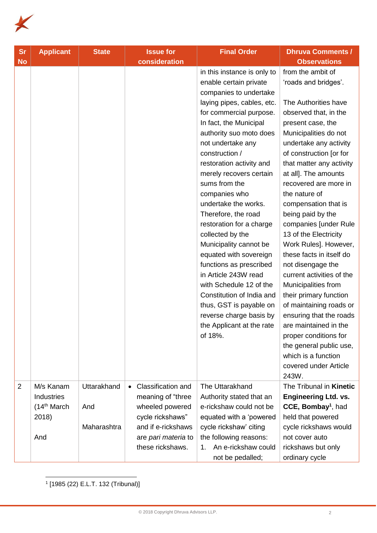

| <b>Sr</b>      | <b>Applicant</b>                                                    | <b>State</b>                      | <b>Issue for</b>                                                                                                                                | <b>Final Order</b>                                                                                                                                                                                                                                                                                                                                                                                                                                                                                                                                                                                                                                                                        | <b>Dhruva Comments /</b>                                                                                                                                                                                                                                                                                                                                                                                                                                                                                                                                                                                                                                                                                                                       |
|----------------|---------------------------------------------------------------------|-----------------------------------|-------------------------------------------------------------------------------------------------------------------------------------------------|-------------------------------------------------------------------------------------------------------------------------------------------------------------------------------------------------------------------------------------------------------------------------------------------------------------------------------------------------------------------------------------------------------------------------------------------------------------------------------------------------------------------------------------------------------------------------------------------------------------------------------------------------------------------------------------------|------------------------------------------------------------------------------------------------------------------------------------------------------------------------------------------------------------------------------------------------------------------------------------------------------------------------------------------------------------------------------------------------------------------------------------------------------------------------------------------------------------------------------------------------------------------------------------------------------------------------------------------------------------------------------------------------------------------------------------------------|
| <b>No</b>      |                                                                     |                                   | consideration                                                                                                                                   |                                                                                                                                                                                                                                                                                                                                                                                                                                                                                                                                                                                                                                                                                           | <b>Observations</b>                                                                                                                                                                                                                                                                                                                                                                                                                                                                                                                                                                                                                                                                                                                            |
|                |                                                                     |                                   |                                                                                                                                                 | in this instance is only to<br>enable certain private<br>companies to undertake<br>laying pipes, cables, etc.<br>for commercial purpose.<br>In fact, the Municipal<br>authority suo moto does<br>not undertake any<br>construction /<br>restoration activity and<br>merely recovers certain<br>sums from the<br>companies who<br>undertake the works.<br>Therefore, the road<br>restoration for a charge<br>collected by the<br>Municipality cannot be<br>equated with sovereign<br>functions as prescribed<br>in Article 243W read<br>with Schedule 12 of the<br>Constitution of India and<br>thus, GST is payable on<br>reverse charge basis by<br>the Applicant at the rate<br>of 18%. | from the ambit of<br>'roads and bridges'.<br>The Authorities have<br>observed that, in the<br>present case, the<br>Municipalities do not<br>undertake any activity<br>of construction [or for<br>that matter any activity<br>at all]. The amounts<br>recovered are more in<br>the nature of<br>compensation that is<br>being paid by the<br>companies [under Rule<br>13 of the Electricity<br>Work Rules]. However,<br>these facts in itself do<br>not disengage the<br>current activities of the<br>Municipalities from<br>their primary function<br>of maintaining roads or<br>ensuring that the roads<br>are maintained in the<br>proper conditions for<br>the general public use,<br>which is a function<br>covered under Article<br>243W. |
| $\overline{2}$ | M/s Kanam<br>Industries<br>(14 <sup>th</sup> March)<br>2018)<br>And | Uttarakhand<br>And<br>Maharashtra | Classification and<br>meaning of "three<br>wheeled powered<br>cycle rickshaws"<br>and if e-rickshaws<br>are pari materia to<br>these rickshaws. | The Uttarakhand<br>Authority stated that an<br>e-rickshaw could not be<br>equated with a 'powered<br>cycle rickshaw' citing<br>the following reasons:<br>1. An e-rickshaw could                                                                                                                                                                                                                                                                                                                                                                                                                                                                                                           | The Tribunal in Kinetic<br><b>Engineering Ltd. vs.</b><br>CCE, Bombay <sup>1</sup> , had<br>held that powered<br>cycle rickshaws would<br>not cover auto                                                                                                                                                                                                                                                                                                                                                                                                                                                                                                                                                                                       |
|                |                                                                     |                                   |                                                                                                                                                 | not be pedalled;                                                                                                                                                                                                                                                                                                                                                                                                                                                                                                                                                                                                                                                                          | rickshaws but only<br>ordinary cycle                                                                                                                                                                                                                                                                                                                                                                                                                                                                                                                                                                                                                                                                                                           |

1 [1985 (22) E.L.T. 132 (Tribunal)]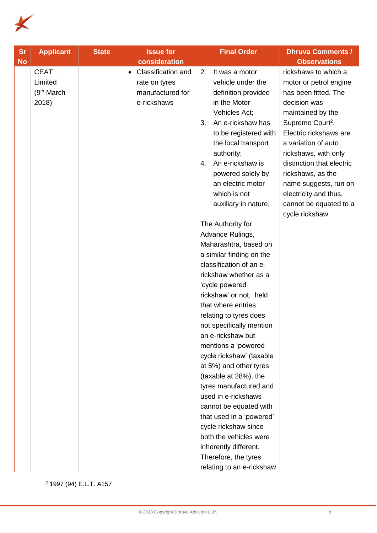

| <b>Sr</b> | <b>Applicant</b>                                           | <b>State</b> | <b>Issue for</b>                                                                           | <b>Final Order</b>                                                                                                                                                                                                                                                                                                                                                                                                                                                                                                                                                                                                                                                                                                                                                                                                                                                                            | <b>Dhruva Comments /</b>                                                                                                                                                                                                                                                                                                                                              |
|-----------|------------------------------------------------------------|--------------|--------------------------------------------------------------------------------------------|-----------------------------------------------------------------------------------------------------------------------------------------------------------------------------------------------------------------------------------------------------------------------------------------------------------------------------------------------------------------------------------------------------------------------------------------------------------------------------------------------------------------------------------------------------------------------------------------------------------------------------------------------------------------------------------------------------------------------------------------------------------------------------------------------------------------------------------------------------------------------------------------------|-----------------------------------------------------------------------------------------------------------------------------------------------------------------------------------------------------------------------------------------------------------------------------------------------------------------------------------------------------------------------|
| <b>No</b> |                                                            |              | consideration                                                                              |                                                                                                                                                                                                                                                                                                                                                                                                                                                                                                                                                                                                                                                                                                                                                                                                                                                                                               | <b>Observations</b>                                                                                                                                                                                                                                                                                                                                                   |
|           | <b>CEAT</b><br>Limited<br>(9 <sup>th</sup> March)<br>2018) |              | <b>Classification and</b><br>$\bullet$<br>rate on tyres<br>manufactured for<br>e-rickshaws | It was a motor<br>2.<br>vehicle under the<br>definition provided<br>in the Motor<br>Vehicles Act;<br>An e-rickshaw has<br>3.<br>to be registered with<br>the local transport<br>authority;<br>An e-rickshaw is<br>4.<br>powered solely by<br>an electric motor<br>which is not<br>auxiliary in nature.<br>The Authority for<br>Advance Rulings,<br>Maharashtra, based on<br>a similar finding on the<br>classification of an e-<br>rickshaw whether as a<br>'cycle powered<br>rickshaw' or not, held<br>that where entries<br>relating to tyres does<br>not specifically mention<br>an e-rickshaw but<br>mentions a 'powered<br>cycle rickshaw' (taxable<br>at 5%) and other tyres<br>(taxable at 28%), the<br>tyres manufactured and<br>used in e-rickshaws<br>cannot be equated with<br>that used in a 'powered'<br>cycle rickshaw since<br>both the vehicles were<br>inherently different. | rickshaws to which a<br>motor or petrol engine<br>has been fitted. The<br>decision was<br>maintained by the<br>Supreme Court <sup>2</sup> .<br>Electric rickshaws are<br>a variation of auto<br>rickshaws, with only<br>distinction that electric<br>rickshaws, as the<br>name suggests, run on<br>electricity and thus,<br>cannot be equated to a<br>cycle rickshaw. |
|           |                                                            |              |                                                                                            | Therefore, the tyres                                                                                                                                                                                                                                                                                                                                                                                                                                                                                                                                                                                                                                                                                                                                                                                                                                                                          |                                                                                                                                                                                                                                                                                                                                                                       |
|           |                                                            |              |                                                                                            | relating to an e-rickshaw                                                                                                                                                                                                                                                                                                                                                                                                                                                                                                                                                                                                                                                                                                                                                                                                                                                                     |                                                                                                                                                                                                                                                                                                                                                                       |

 $\overline{a}$ <sup>2</sup> 1997 (94) E.L.T. A157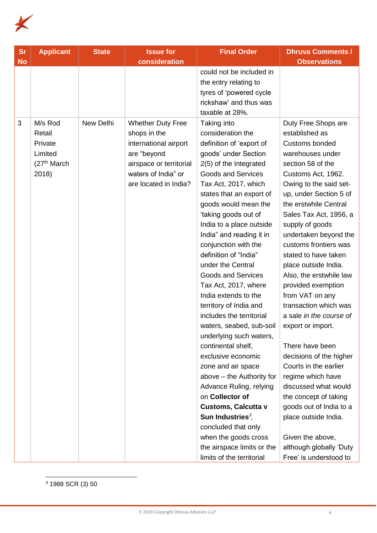

| <b>Sr</b> | <b>Applicant</b>                                                             | <b>State</b> | <b>Issue for</b>                                                                                                                                            | <b>Final Order</b>                                                                                                                                                                                                                                                                                                                                                                                                                                                                                                                                                                                                                                                                                                                                                                                                                                                                   | <b>Dhruva Comments /</b>                                                                                                                                                                                                                                                                                                                                                                                                                                                                                                                                                                                                                                                                                                                                                 |
|-----------|------------------------------------------------------------------------------|--------------|-------------------------------------------------------------------------------------------------------------------------------------------------------------|--------------------------------------------------------------------------------------------------------------------------------------------------------------------------------------------------------------------------------------------------------------------------------------------------------------------------------------------------------------------------------------------------------------------------------------------------------------------------------------------------------------------------------------------------------------------------------------------------------------------------------------------------------------------------------------------------------------------------------------------------------------------------------------------------------------------------------------------------------------------------------------|--------------------------------------------------------------------------------------------------------------------------------------------------------------------------------------------------------------------------------------------------------------------------------------------------------------------------------------------------------------------------------------------------------------------------------------------------------------------------------------------------------------------------------------------------------------------------------------------------------------------------------------------------------------------------------------------------------------------------------------------------------------------------|
| <b>No</b> |                                                                              |              | consideration                                                                                                                                               |                                                                                                                                                                                                                                                                                                                                                                                                                                                                                                                                                                                                                                                                                                                                                                                                                                                                                      | <b>Observations</b>                                                                                                                                                                                                                                                                                                                                                                                                                                                                                                                                                                                                                                                                                                                                                      |
|           |                                                                              |              |                                                                                                                                                             | could not be included in<br>the entry relating to<br>tyres of 'powered cycle<br>rickshaw' and thus was<br>taxable at 28%.                                                                                                                                                                                                                                                                                                                                                                                                                                                                                                                                                                                                                                                                                                                                                            |                                                                                                                                                                                                                                                                                                                                                                                                                                                                                                                                                                                                                                                                                                                                                                          |
| 3         | M/s Rod<br>Retail<br>Private<br>Limited<br>(27 <sup>th</sup> March)<br>2018) | New Delhi    | <b>Whether Duty Free</b><br>shops in the<br>international airport<br>are "beyond<br>airspace or territorial<br>waters of India" or<br>are located in India? | Taking into<br>consideration the<br>definition of 'export of<br>goods' under Section<br>2(5) of the Integrated<br><b>Goods and Services</b><br>Tax Act, 2017, which<br>states that an export of<br>goods would mean the<br>'taking goods out of<br>India to a place outside<br>India" and reading it in<br>conjunction with the<br>definition of "India"<br>under the Central<br><b>Goods and Services</b><br>Tax Act, 2017, where<br>India extends to the<br>territory of India and<br>includes the territorial<br>waters, seabed, sub-soil<br>underlying such waters,<br>continental shelf,<br>exclusive economic<br>zone and air space<br>above - the Authority for<br>Advance Ruling, relying<br>on Collector of<br><b>Customs, Calcutta v</b><br>Sun Industries $3$ ,<br>concluded that only<br>when the goods cross<br>the airspace limits or the<br>limits of the territorial | Duty Free Shops are<br>established as<br>Customs bonded<br>warehouses under<br>section 58 of the<br>Customs Act, 1962.<br>Owing to the said set-<br>up, under Section 5 of<br>the erstwhile Central<br>Sales Tax Act, 1956, a<br>supply of goods<br>undertaken beyond the<br>customs frontiers was<br>stated to have taken<br>place outside India.<br>Also, the erstwhile law<br>provided exemption<br>from VAT on any<br>transaction which was<br>a sale in the course of<br>export or import.<br>There have been<br>decisions of the higher<br>Courts in the earlier<br>regime which have<br>discussed what would<br>the concept of taking<br>goods out of India to a<br>place outside India.<br>Given the above,<br>although globally 'Duty<br>Free' is understood to |

 $\overline{a}$ <sup>3</sup> 1988 SCR (3) 50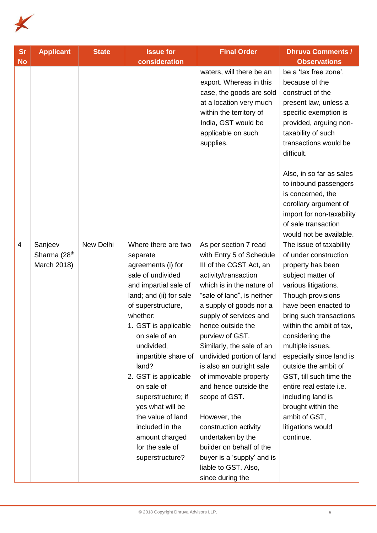

| <b>Sr</b> | <b>Applicant</b>         | <b>State</b> | <b>Issue for</b>                                 | <b>Final Order</b>                                                                                                                                                                              | <b>Dhruva Comments /</b>                                                                                                                                                                             |
|-----------|--------------------------|--------------|--------------------------------------------------|-------------------------------------------------------------------------------------------------------------------------------------------------------------------------------------------------|------------------------------------------------------------------------------------------------------------------------------------------------------------------------------------------------------|
| <b>No</b> |                          |              | consideration                                    |                                                                                                                                                                                                 | <b>Observations</b>                                                                                                                                                                                  |
|           |                          |              |                                                  | waters, will there be an<br>export. Whereas in this<br>case, the goods are sold<br>at a location very much<br>within the territory of<br>India, GST would be<br>applicable on such<br>supplies. | be a 'tax free zone',<br>because of the<br>construct of the<br>present law, unless a<br>specific exemption is<br>provided, arguing non-<br>taxability of such<br>transactions would be<br>difficult. |
|           |                          |              |                                                  |                                                                                                                                                                                                 | Also, in so far as sales<br>to inbound passengers<br>is concerned, the<br>corollary argument of<br>import for non-taxability<br>of sale transaction<br>would not be available.                       |
| 4         | Sanjeev                  | New Delhi    | Where there are two                              | As per section 7 read                                                                                                                                                                           | The issue of taxability                                                                                                                                                                              |
|           | Sharma (28 <sup>th</sup> |              | separate                                         | with Entry 5 of Schedule                                                                                                                                                                        | of under construction                                                                                                                                                                                |
|           | March 2018)              |              | agreements (i) for                               | III of the CGST Act, an                                                                                                                                                                         | property has been                                                                                                                                                                                    |
|           |                          |              | sale of undivided                                | activity/transaction                                                                                                                                                                            | subject matter of                                                                                                                                                                                    |
|           |                          |              | and impartial sale of<br>land; and (ii) for sale | which is in the nature of<br>"sale of land", is neither                                                                                                                                         | various litigations.<br>Though provisions                                                                                                                                                            |
|           |                          |              | of superstructure,                               | a supply of goods nor a                                                                                                                                                                         | have been enacted to                                                                                                                                                                                 |
|           |                          |              | whether:                                         | supply of services and                                                                                                                                                                          | bring such transactions                                                                                                                                                                              |
|           |                          |              | 1. GST is applicable                             | hence outside the                                                                                                                                                                               | within the ambit of tax,                                                                                                                                                                             |
|           |                          |              | on sale of an                                    | purview of GST.                                                                                                                                                                                 | considering the                                                                                                                                                                                      |
|           |                          |              | undivided,                                       | Similarly, the sale of an                                                                                                                                                                       | multiple issues,                                                                                                                                                                                     |
|           |                          |              | impartible share of                              | undivided portion of land                                                                                                                                                                       | especially since land is                                                                                                                                                                             |
|           |                          |              | land?                                            | is also an outright sale                                                                                                                                                                        | outside the ambit of                                                                                                                                                                                 |
|           |                          |              | 2. GST is applicable                             | of immovable property                                                                                                                                                                           | GST, till such time the                                                                                                                                                                              |
|           |                          |              | on sale of                                       | and hence outside the                                                                                                                                                                           | entire real estate i.e.                                                                                                                                                                              |
|           |                          |              | superstructure; if                               | scope of GST.                                                                                                                                                                                   | including land is                                                                                                                                                                                    |
|           |                          |              | yes what will be                                 |                                                                                                                                                                                                 | brought within the                                                                                                                                                                                   |
|           |                          |              | the value of land                                | However, the                                                                                                                                                                                    | ambit of GST,                                                                                                                                                                                        |
|           |                          |              | included in the<br>amount charged                | construction activity<br>undertaken by the                                                                                                                                                      | litigations would<br>continue.                                                                                                                                                                       |
|           |                          |              | for the sale of                                  | builder on behalf of the                                                                                                                                                                        |                                                                                                                                                                                                      |
|           |                          |              | superstructure?                                  | buyer is a 'supply' and is                                                                                                                                                                      |                                                                                                                                                                                                      |
|           |                          |              |                                                  | liable to GST. Also,                                                                                                                                                                            |                                                                                                                                                                                                      |
|           |                          |              |                                                  | since during the                                                                                                                                                                                |                                                                                                                                                                                                      |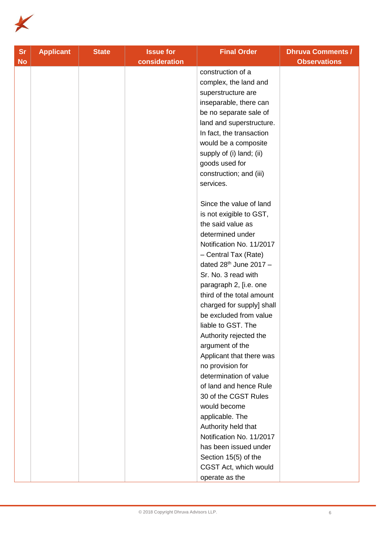

| <b>Sr</b> | <b>Applicant</b> | <b>State</b> | <b>Issue for</b> | <b>Final Order</b>        | <b>Dhruva Comments /</b> |
|-----------|------------------|--------------|------------------|---------------------------|--------------------------|
| <b>No</b> |                  |              | consideration    |                           | <b>Observations</b>      |
|           |                  |              |                  | construction of a         |                          |
|           |                  |              |                  | complex, the land and     |                          |
|           |                  |              |                  | superstructure are        |                          |
|           |                  |              |                  | inseparable, there can    |                          |
|           |                  |              |                  | be no separate sale of    |                          |
|           |                  |              |                  | land and superstructure.  |                          |
|           |                  |              |                  | In fact, the transaction  |                          |
|           |                  |              |                  | would be a composite      |                          |
|           |                  |              |                  | supply of (i) land; (ii)  |                          |
|           |                  |              |                  | goods used for            |                          |
|           |                  |              |                  | construction; and (iii)   |                          |
|           |                  |              |                  | services.                 |                          |
|           |                  |              |                  | Since the value of land   |                          |
|           |                  |              |                  | is not exigible to GST,   |                          |
|           |                  |              |                  | the said value as         |                          |
|           |                  |              |                  | determined under          |                          |
|           |                  |              |                  | Notification No. 11/2017  |                          |
|           |                  |              |                  | - Central Tax (Rate)      |                          |
|           |                  |              |                  | dated $28th$ June 2017 -  |                          |
|           |                  |              |                  | Sr. No. 3 read with       |                          |
|           |                  |              |                  | paragraph 2, [i.e. one    |                          |
|           |                  |              |                  | third of the total amount |                          |
|           |                  |              |                  | charged for supply] shall |                          |
|           |                  |              |                  | be excluded from value    |                          |
|           |                  |              |                  | liable to GST. The        |                          |
|           |                  |              |                  | Authority rejected the    |                          |
|           |                  |              |                  | argument of the           |                          |
|           |                  |              |                  | Applicant that there was  |                          |
|           |                  |              |                  | no provision for          |                          |
|           |                  |              |                  | determination of value    |                          |
|           |                  |              |                  | of land and hence Rule    |                          |
|           |                  |              |                  | 30 of the CGST Rules      |                          |
|           |                  |              |                  | would become              |                          |
|           |                  |              |                  | applicable. The           |                          |
|           |                  |              |                  | Authority held that       |                          |
|           |                  |              |                  | Notification No. 11/2017  |                          |
|           |                  |              |                  | has been issued under     |                          |
|           |                  |              |                  | Section 15(5) of the      |                          |
|           |                  |              |                  | CGST Act, which would     |                          |
|           |                  |              |                  | operate as the            |                          |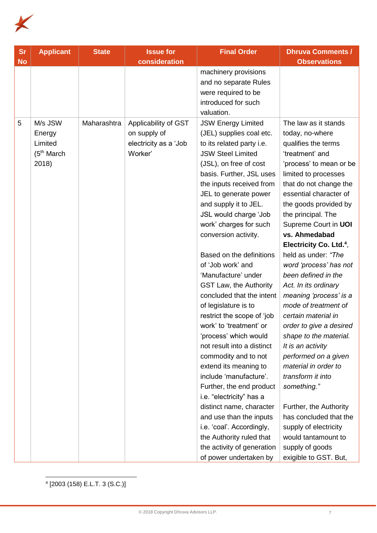

| <b>Sr</b> | <b>Applicant</b>                                                 | <b>State</b> | <b>Issue for</b>                                                         | <b>Final Order</b>                                                                                                                                                                                                                                                                                                                                                                                                                                                                                                                                                                                                                                                                                                                                                                                                                                                                                                     | <b>Dhruva Comments /</b>                                                                                                                                                                                                                                                                                                                                                                                                                                                                                                                                                                                                                                                                                                                                                                                       |
|-----------|------------------------------------------------------------------|--------------|--------------------------------------------------------------------------|------------------------------------------------------------------------------------------------------------------------------------------------------------------------------------------------------------------------------------------------------------------------------------------------------------------------------------------------------------------------------------------------------------------------------------------------------------------------------------------------------------------------------------------------------------------------------------------------------------------------------------------------------------------------------------------------------------------------------------------------------------------------------------------------------------------------------------------------------------------------------------------------------------------------|----------------------------------------------------------------------------------------------------------------------------------------------------------------------------------------------------------------------------------------------------------------------------------------------------------------------------------------------------------------------------------------------------------------------------------------------------------------------------------------------------------------------------------------------------------------------------------------------------------------------------------------------------------------------------------------------------------------------------------------------------------------------------------------------------------------|
| <b>No</b> |                                                                  |              | consideration                                                            |                                                                                                                                                                                                                                                                                                                                                                                                                                                                                                                                                                                                                                                                                                                                                                                                                                                                                                                        | <b>Observations</b>                                                                                                                                                                                                                                                                                                                                                                                                                                                                                                                                                                                                                                                                                                                                                                                            |
|           |                                                                  |              |                                                                          | machinery provisions<br>and no separate Rules<br>were required to be<br>introduced for such<br>valuation.                                                                                                                                                                                                                                                                                                                                                                                                                                                                                                                                                                                                                                                                                                                                                                                                              |                                                                                                                                                                                                                                                                                                                                                                                                                                                                                                                                                                                                                                                                                                                                                                                                                |
| 5         | M/s JSW<br>Energy<br>Limited<br>(5 <sup>th</sup> March)<br>2018) | Maharashtra  | Applicability of GST<br>on supply of<br>electricity as a 'Job<br>Worker' | <b>JSW Energy Limited</b><br>(JEL) supplies coal etc.<br>to its related party i.e.<br><b>JSW Steel Limited</b><br>(JSL), on free of cost<br>basis. Further, JSL uses<br>the inputs received from<br>JEL to generate power<br>and supply it to JEL.<br>JSL would charge 'Job<br>work' charges for such<br>conversion activity.<br>Based on the definitions<br>of 'Job work' and<br>'Manufacture' under<br><b>GST Law, the Authority</b><br>concluded that the intent<br>of legislature is to<br>restrict the scope of 'job<br>work' to 'treatment' or<br>'process' which would<br>not result into a distinct<br>commodity and to not<br>extend its meaning to<br>include 'manufacture'.<br>Further, the end product<br>i.e. "electricity" has a<br>distinct name, character<br>and use than the inputs<br>i.e. 'coal'. Accordingly,<br>the Authority ruled that<br>the activity of generation<br>of power undertaken by | The law as it stands<br>today, no-where<br>qualifies the terms<br>'treatment' and<br>'process' to mean or be<br>limited to processes<br>that do not change the<br>essential character of<br>the goods provided by<br>the principal. The<br>Supreme Court in UOI<br>vs. Ahmedabad<br>Electricity Co. Ltd. <sup>4</sup> ,<br>held as under: "The<br>word 'process' has not<br>been defined in the<br>Act. In its ordinary<br>meaning 'process' is a<br>mode of treatment of<br>certain material in<br>order to give a desired<br>shape to the material.<br>It is an activity<br>performed on a given<br>material in order to<br>transform it into<br>something."<br>Further, the Authority<br>has concluded that the<br>supply of electricity<br>would tantamount to<br>supply of goods<br>exigible to GST. But, |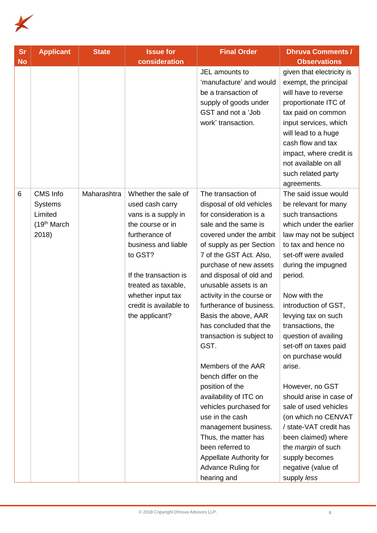

| <b>Sr</b> | <b>Applicant</b>                                                           | <b>State</b> | <b>Issue for</b>                                                                                                                                                                                                                                       | <b>Final Order</b>                                                                                                                                                                                                                                                                                                                                                                                                                                                                                                                                                                                                                                                                          | <b>Dhruva Comments /</b>                                                                                                                                                                                                                                                                                                                                                                                                                                                                                                                                                                                       |
|-----------|----------------------------------------------------------------------------|--------------|--------------------------------------------------------------------------------------------------------------------------------------------------------------------------------------------------------------------------------------------------------|---------------------------------------------------------------------------------------------------------------------------------------------------------------------------------------------------------------------------------------------------------------------------------------------------------------------------------------------------------------------------------------------------------------------------------------------------------------------------------------------------------------------------------------------------------------------------------------------------------------------------------------------------------------------------------------------|----------------------------------------------------------------------------------------------------------------------------------------------------------------------------------------------------------------------------------------------------------------------------------------------------------------------------------------------------------------------------------------------------------------------------------------------------------------------------------------------------------------------------------------------------------------------------------------------------------------|
| <b>No</b> |                                                                            |              | consideration                                                                                                                                                                                                                                          |                                                                                                                                                                                                                                                                                                                                                                                                                                                                                                                                                                                                                                                                                             | <b>Observations</b>                                                                                                                                                                                                                                                                                                                                                                                                                                                                                                                                                                                            |
|           |                                                                            |              |                                                                                                                                                                                                                                                        | JEL amounts to<br>'manufacture' and would<br>be a transaction of<br>supply of goods under<br>GST and not a 'Job<br>work' transaction.                                                                                                                                                                                                                                                                                                                                                                                                                                                                                                                                                       | given that electricity is<br>exempt, the principal<br>will have to reverse<br>proportionate ITC of<br>tax paid on common<br>input services, which<br>will lead to a huge<br>cash flow and tax<br>impact, where credit is<br>not available on all<br>such related party<br>agreements.                                                                                                                                                                                                                                                                                                                          |
| 6         | CMS Info<br><b>Systems</b><br>Limited<br>(19 <sup>th</sup> March)<br>2018) | Maharashtra  | Whether the sale of<br>used cash carry<br>vans is a supply in<br>the course or in<br>furtherance of<br>business and liable<br>to GST?<br>If the transaction is<br>treated as taxable,<br>whether input tax<br>credit is available to<br>the applicant? | The transaction of<br>disposal of old vehicles<br>for consideration is a<br>sale and the same is<br>covered under the ambit<br>of supply as per Section<br>7 of the GST Act. Also,<br>purchase of new assets<br>and disposal of old and<br>unusable assets is an<br>activity in the course or<br>furtherance of business.<br>Basis the above, AAR<br>has concluded that the<br>transaction is subject to<br>GST.<br>Members of the AAR<br>bench differ on the<br>position of the<br>availability of ITC on<br>vehicles purchased for<br>use in the cash<br>management business.<br>Thus, the matter has<br>been referred to<br>Appellate Authority for<br>Advance Ruling for<br>hearing and | The said issue would<br>be relevant for many<br>such transactions<br>which under the earlier<br>law may not be subject<br>to tax and hence no<br>set-off were availed<br>during the impugned<br>period.<br>Now with the<br>introduction of GST,<br>levying tax on such<br>transactions, the<br>question of availing<br>set-off on taxes paid<br>on purchase would<br>arise.<br>However, no GST<br>should arise in case of<br>sale of used vehicles<br>(on which no CENVAT<br>/ state-VAT credit has<br>been claimed) where<br>the <i>margin</i> of such<br>supply becomes<br>negative (value of<br>supply less |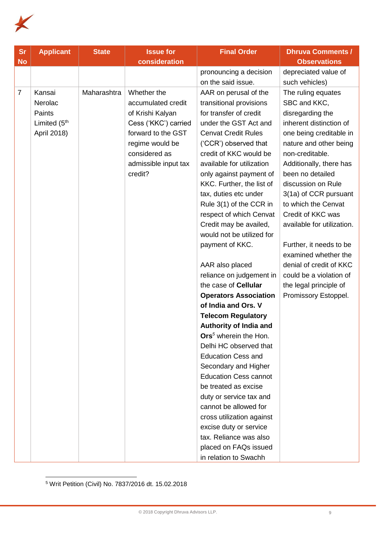

| <b>Sr</b>      | <b>Applicant</b>         | <b>State</b> | <b>Issue for</b>     | <b>Final Order</b>                | <b>Dhruva Comments /</b>   |
|----------------|--------------------------|--------------|----------------------|-----------------------------------|----------------------------|
| <b>No</b>      |                          |              | consideration        |                                   | <b>Observations</b>        |
|                |                          |              |                      | pronouncing a decision            | depreciated value of       |
|                |                          |              |                      | on the said issue.                | such vehicles)             |
| $\overline{7}$ | Kansai                   | Maharashtra  | Whether the          | AAR on perusal of the             | The ruling equates         |
|                | Nerolac                  |              | accumulated credit   | transitional provisions           | SBC and KKC,               |
|                | Paints                   |              | of Krishi Kalyan     | for transfer of credit            | disregarding the           |
|                | Limited (5 <sup>th</sup> |              | Cess ('KKC') carried | under the GST Act and             | inherent distinction of    |
|                | April 2018)              |              | forward to the GST   | <b>Cenvat Credit Rules</b>        | one being creditable in    |
|                |                          |              | regime would be      | ('CCR') observed that             | nature and other being     |
|                |                          |              | considered as        | credit of KKC would be            | non-creditable.            |
|                |                          |              | admissible input tax | available for utilization         | Additionally, there has    |
|                |                          |              | credit?              | only against payment of           | been no detailed           |
|                |                          |              |                      | KKC. Further, the list of         | discussion on Rule         |
|                |                          |              |                      | tax, duties etc under             | 3(1a) of CCR pursuant      |
|                |                          |              |                      | Rule 3(1) of the CCR in           | to which the Cenvat        |
|                |                          |              |                      | respect of which Cenvat           | Credit of KKC was          |
|                |                          |              |                      | Credit may be availed,            | available for utilization. |
|                |                          |              |                      | would not be utilized for         |                            |
|                |                          |              |                      | payment of KKC.                   | Further, it needs to be    |
|                |                          |              |                      |                                   | examined whether the       |
|                |                          |              |                      | AAR also placed                   | denial of credit of KKC    |
|                |                          |              |                      | reliance on judgement in          | could be a violation of    |
|                |                          |              |                      | the case of Cellular              | the legal principle of     |
|                |                          |              |                      | <b>Operators Association</b>      | Promissory Estoppel.       |
|                |                          |              |                      | of India and Ors. V               |                            |
|                |                          |              |                      | <b>Telecom Regulatory</b>         |                            |
|                |                          |              |                      | <b>Authority of India and</b>     |                            |
|                |                          |              |                      | Ors <sup>5</sup> wherein the Hon. |                            |
|                |                          |              |                      | Delhi HC observed that            |                            |
|                |                          |              |                      | <b>Education Cess and</b>         |                            |
|                |                          |              |                      | Secondary and Higher              |                            |
|                |                          |              |                      | <b>Education Cess cannot</b>      |                            |
|                |                          |              |                      | be treated as excise              |                            |
|                |                          |              |                      | duty or service tax and           |                            |
|                |                          |              |                      | cannot be allowed for             |                            |
|                |                          |              |                      | cross utilization against         |                            |
|                |                          |              |                      | excise duty or service            |                            |
|                |                          |              |                      | tax. Reliance was also            |                            |
|                |                          |              |                      | placed on FAQs issued             |                            |
|                |                          |              |                      | in relation to Swachh             |                            |

<sup>5</sup> Writ Petition (Civil) No. 7837/2016 dt. 15.02.2018

 $\overline{a}$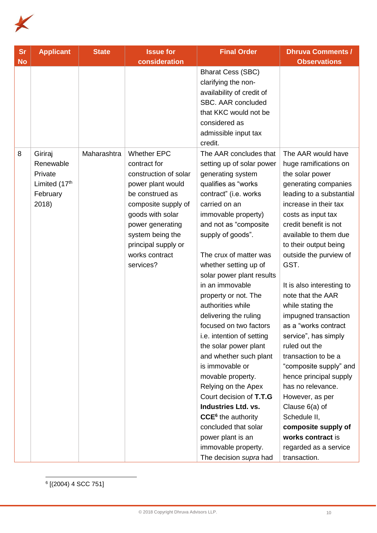

| <b>Sr</b> | <b>Applicant</b>                                             | <b>State</b> | <b>Issue for</b>                                                                                    | <b>Final Order</b>                                                                                                       | <b>Dhruva Comments /</b>                                                                                           |
|-----------|--------------------------------------------------------------|--------------|-----------------------------------------------------------------------------------------------------|--------------------------------------------------------------------------------------------------------------------------|--------------------------------------------------------------------------------------------------------------------|
| <b>No</b> |                                                              |              | consideration                                                                                       |                                                                                                                          | <b>Observations</b>                                                                                                |
|           |                                                              |              |                                                                                                     | <b>Bharat Cess (SBC)</b><br>clarifying the non-<br>availability of credit of<br>SBC. AAR concluded                       |                                                                                                                    |
|           |                                                              |              |                                                                                                     | that KKC would not be                                                                                                    |                                                                                                                    |
|           |                                                              |              |                                                                                                     | considered as                                                                                                            |                                                                                                                    |
|           |                                                              |              |                                                                                                     | admissible input tax<br>credit.                                                                                          |                                                                                                                    |
| 8         | Giriraj<br>Renewable<br>Private<br>Limited (17th<br>February | Maharashtra  | <b>Whether EPC</b><br>contract for<br>construction of solar<br>power plant would<br>be construed as | The AAR concludes that<br>setting up of solar power<br>generating system<br>qualifies as "works<br>contract" (i.e. works | The AAR would have<br>huge ramifications on<br>the solar power<br>generating companies<br>leading to a substantial |
|           | 2018)                                                        |              | composite supply of                                                                                 | carried on an                                                                                                            | increase in their tax                                                                                              |
|           |                                                              |              | goods with solar                                                                                    | immovable property)                                                                                                      | costs as input tax                                                                                                 |
|           |                                                              |              | power generating                                                                                    | and not as "composite                                                                                                    | credit benefit is not                                                                                              |
|           |                                                              |              | system being the                                                                                    | supply of goods".                                                                                                        | available to them due                                                                                              |
|           |                                                              |              | principal supply or                                                                                 |                                                                                                                          | to their output being                                                                                              |
|           |                                                              |              | works contract                                                                                      | The crux of matter was                                                                                                   | outside the purview of                                                                                             |
|           |                                                              |              | services?                                                                                           | whether setting up of                                                                                                    | GST.                                                                                                               |
|           |                                                              |              |                                                                                                     | solar power plant results                                                                                                |                                                                                                                    |
|           |                                                              |              |                                                                                                     | in an immovable                                                                                                          | It is also interesting to                                                                                          |
|           |                                                              |              |                                                                                                     | property or not. The                                                                                                     | note that the AAR                                                                                                  |
|           |                                                              |              |                                                                                                     | authorities while                                                                                                        | while stating the                                                                                                  |
|           |                                                              |              |                                                                                                     | delivering the ruling                                                                                                    | impugned transaction                                                                                               |
|           |                                                              |              |                                                                                                     | focused on two factors                                                                                                   | as a "works contract                                                                                               |
|           |                                                              |              |                                                                                                     | i.e. intention of setting                                                                                                | service", has simply                                                                                               |
|           |                                                              |              |                                                                                                     | the solar power plant                                                                                                    | ruled out the                                                                                                      |
|           |                                                              |              |                                                                                                     | and whether such plant                                                                                                   | transaction to be a                                                                                                |
|           |                                                              |              |                                                                                                     | is immovable or                                                                                                          | "composite supply" and                                                                                             |
|           |                                                              |              |                                                                                                     | movable property.                                                                                                        | hence principal supply                                                                                             |
|           |                                                              |              |                                                                                                     | Relying on the Apex                                                                                                      | has no relevance.                                                                                                  |
|           |                                                              |              |                                                                                                     | Court decision of T.T.G                                                                                                  | However, as per                                                                                                    |
|           |                                                              |              |                                                                                                     | <b>Industries Ltd. vs.</b>                                                                                               | Clause 6(a) of                                                                                                     |
|           |                                                              |              |                                                                                                     | CCE <sup>6</sup> the authority                                                                                           | Schedule II,                                                                                                       |
|           |                                                              |              |                                                                                                     | concluded that solar                                                                                                     | composite supply of                                                                                                |
|           |                                                              |              |                                                                                                     | power plant is an                                                                                                        | works contract is                                                                                                  |
|           |                                                              |              |                                                                                                     | immovable property.                                                                                                      | regarded as a service                                                                                              |
|           |                                                              |              |                                                                                                     | The decision supra had                                                                                                   | transaction.                                                                                                       |

6 [(2004) 4 SCC 751]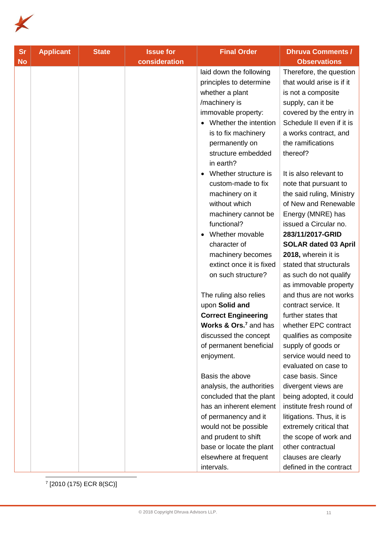

| <b>Sr</b> | <b>Applicant</b> | <b>State</b> | <b>Issue for</b> | <b>Final Order</b>                                                                                                                                                                                                 | <b>Dhruva Comments /</b>                                                                                                                                                                                          |
|-----------|------------------|--------------|------------------|--------------------------------------------------------------------------------------------------------------------------------------------------------------------------------------------------------------------|-------------------------------------------------------------------------------------------------------------------------------------------------------------------------------------------------------------------|
| <b>No</b> |                  |              | consideration    |                                                                                                                                                                                                                    | <b>Observations</b>                                                                                                                                                                                               |
|           |                  |              |                  | laid down the following<br>principles to determine<br>whether a plant<br>/machinery is<br>immovable property:<br>Whether the intention<br>is to fix machinery<br>permanently on<br>structure embedded<br>in earth? | Therefore, the question<br>that would arise is if it<br>is not a composite<br>supply, can it be<br>covered by the entry in<br>Schedule II even if it is<br>a works contract, and<br>the ramifications<br>thereof? |
|           |                  |              |                  | Whether structure is<br>custom-made to fix<br>machinery on it<br>without which<br>machinery cannot be<br>functional?<br>Whether movable<br>character of                                                            | It is also relevant to<br>note that pursuant to<br>the said ruling, Ministry<br>of New and Renewable<br>Energy (MNRE) has<br>issued a Circular no.<br>283/11/2017-GRID<br><b>SOLAR dated 03 April</b>             |
|           |                  |              |                  | machinery becomes<br>extinct once it is fixed                                                                                                                                                                      | 2018, wherein it is<br>stated that structurals                                                                                                                                                                    |
|           |                  |              |                  | on such structure?                                                                                                                                                                                                 | as such do not qualify                                                                                                                                                                                            |
|           |                  |              |                  |                                                                                                                                                                                                                    | as immovable property                                                                                                                                                                                             |
|           |                  |              |                  | The ruling also relies                                                                                                                                                                                             | and thus are not works                                                                                                                                                                                            |
|           |                  |              |                  | upon Solid and<br><b>Correct Engineering</b>                                                                                                                                                                       | contract service. It<br>further states that                                                                                                                                                                       |
|           |                  |              |                  | <b>Works &amp; Ors.</b> and has                                                                                                                                                                                    | whether EPC contract                                                                                                                                                                                              |
|           |                  |              |                  | discussed the concept                                                                                                                                                                                              | qualifies as composite                                                                                                                                                                                            |
|           |                  |              |                  | of permanent beneficial                                                                                                                                                                                            | supply of goods or                                                                                                                                                                                                |
|           |                  |              |                  | enjoyment.                                                                                                                                                                                                         | service would need to                                                                                                                                                                                             |
|           |                  |              |                  |                                                                                                                                                                                                                    | evaluated on case to                                                                                                                                                                                              |
|           |                  |              |                  | Basis the above                                                                                                                                                                                                    | case basis. Since                                                                                                                                                                                                 |
|           |                  |              |                  | analysis, the authorities                                                                                                                                                                                          | divergent views are                                                                                                                                                                                               |
|           |                  |              |                  | concluded that the plant                                                                                                                                                                                           | being adopted, it could                                                                                                                                                                                           |
|           |                  |              |                  | has an inherent element                                                                                                                                                                                            | institute fresh round of                                                                                                                                                                                          |
|           |                  |              |                  | of permanency and it                                                                                                                                                                                               | litigations. Thus, it is                                                                                                                                                                                          |
|           |                  |              |                  | would not be possible                                                                                                                                                                                              | extremely critical that                                                                                                                                                                                           |
|           |                  |              |                  | and prudent to shift                                                                                                                                                                                               | the scope of work and                                                                                                                                                                                             |
|           |                  |              |                  | base or locate the plant                                                                                                                                                                                           | other contractual                                                                                                                                                                                                 |
|           |                  |              |                  | elsewhere at frequent                                                                                                                                                                                              | clauses are clearly                                                                                                                                                                                               |
|           |                  |              |                  | intervals.                                                                                                                                                                                                         | defined in the contract                                                                                                                                                                                           |

7 [2010 (175) ECR 8(SC)]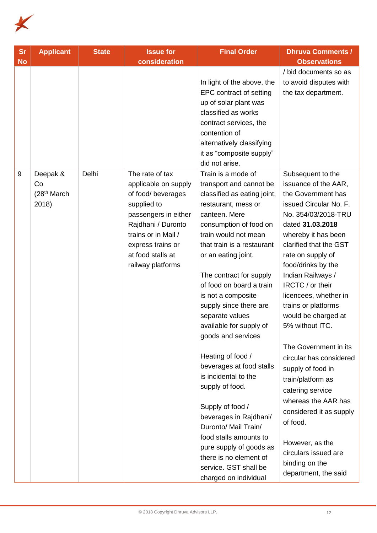

| <b>Sr</b><br><b>No</b> | <b>Applicant</b>                                    | <b>State</b> | <b>Issue for</b><br>consideration                                                                                                                                                                                | <b>Final Order</b>                                                                                                                                                                                                                                                                                                                                                                                                                                                                                                                                                                                                                                                                                        | <b>Dhruva Comments /</b><br><b>Observations</b>                                                                                                                                                                                                                                                                                                                                                                                                                                                                                                                                                                                          |
|------------------------|-----------------------------------------------------|--------------|------------------------------------------------------------------------------------------------------------------------------------------------------------------------------------------------------------------|-----------------------------------------------------------------------------------------------------------------------------------------------------------------------------------------------------------------------------------------------------------------------------------------------------------------------------------------------------------------------------------------------------------------------------------------------------------------------------------------------------------------------------------------------------------------------------------------------------------------------------------------------------------------------------------------------------------|------------------------------------------------------------------------------------------------------------------------------------------------------------------------------------------------------------------------------------------------------------------------------------------------------------------------------------------------------------------------------------------------------------------------------------------------------------------------------------------------------------------------------------------------------------------------------------------------------------------------------------------|
|                        |                                                     |              |                                                                                                                                                                                                                  | In light of the above, the<br>EPC contract of setting<br>up of solar plant was<br>classified as works<br>contract services, the<br>contention of<br>alternatively classifying<br>it as "composite supply"<br>did not arise.                                                                                                                                                                                                                                                                                                                                                                                                                                                                               | / bid documents so as<br>to avoid disputes with<br>the tax department.                                                                                                                                                                                                                                                                                                                                                                                                                                                                                                                                                                   |
| 9                      | Deepak &<br>Co<br>(28 <sup>th</sup> March)<br>2018) | Delhi        | The rate of tax<br>applicable on supply<br>of food/ beverages<br>supplied to<br>passengers in either<br>Rajdhani / Duronto<br>trains or in Mail /<br>express trains or<br>at food stalls at<br>railway platforms | Train is a mode of<br>transport and cannot be<br>classified as eating joint,<br>restaurant, mess or<br>canteen. Mere<br>consumption of food on<br>train would not mean<br>that train is a restaurant<br>or an eating joint.<br>The contract for supply<br>of food on board a train<br>is not a composite<br>supply since there are<br>separate values<br>available for supply of<br>goods and services<br>Heating of food /<br>beverages at food stalls<br>is incidental to the<br>supply of food.<br>Supply of food /<br>beverages in Rajdhani/<br>Duronto/ Mail Train/<br>food stalls amounts to<br>pure supply of goods as<br>there is no element of<br>service. GST shall be<br>charged on individual | Subsequent to the<br>issuance of the AAR,<br>the Government has<br>issued Circular No. F.<br>No. 354/03/2018-TRU<br>dated 31.03.2018<br>whereby it has been<br>clarified that the GST<br>rate on supply of<br>food/drinks by the<br>Indian Railways /<br>IRCTC / or their<br>licencees, whether in<br>trains or platforms<br>would be charged at<br>5% without ITC.<br>The Government in its<br>circular has considered<br>supply of food in<br>train/platform as<br>catering service<br>whereas the AAR has<br>considered it as supply<br>of food.<br>However, as the<br>circulars issued are<br>binding on the<br>department, the said |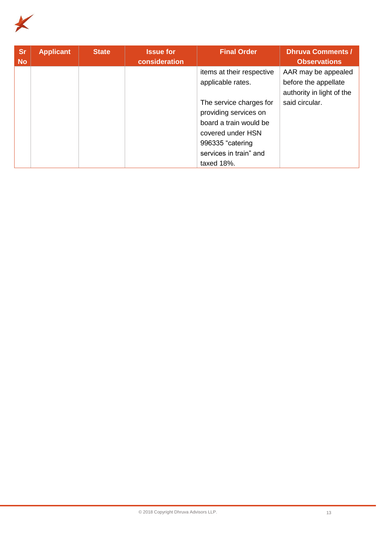

| <b>Sr</b><br><b>No</b> | <b>Applicant</b> | <b>State</b> | <b>Issue for</b><br>consideration | <b>Final Order</b>        | <b>Dhruva Comments /</b><br><b>Observations</b> |
|------------------------|------------------|--------------|-----------------------------------|---------------------------|-------------------------------------------------|
|                        |                  |              |                                   | items at their respective | AAR may be appealed                             |
|                        |                  |              |                                   | applicable rates.         | before the appellate                            |
|                        |                  |              |                                   |                           | authority in light of the                       |
|                        |                  |              |                                   | The service charges for   | said circular.                                  |
|                        |                  |              |                                   | providing services on     |                                                 |
|                        |                  |              |                                   | board a train would be    |                                                 |
|                        |                  |              |                                   | covered under HSN         |                                                 |
|                        |                  |              |                                   | 996335 "catering          |                                                 |
|                        |                  |              |                                   | services in train" and    |                                                 |
|                        |                  |              |                                   | taxed 18%.                |                                                 |